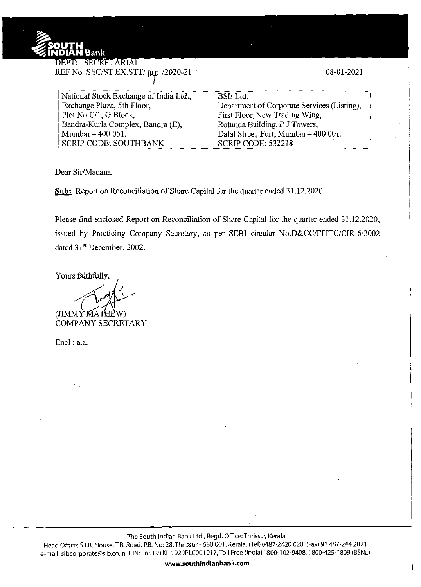

**DEPT: SECRETARIAL** REF No. SEC/ST EX.STT/ $\mu$ <sub>L</sub> /2020-21

08-01-2021

| National Stock Exchange of India Ltd., | <b>BSE</b> Ltd.                             |
|----------------------------------------|---------------------------------------------|
| Exchange Plaza, 5th Floor,             | Department of Corporate Services (Listing), |
| Plot No.C/1, G Block,                  | First Floor, New Trading Wing,              |
| Bandra-Kurla Complex, Bandra (E),      | Rotunda Building, P J Towers,               |
| Mumbai - 400 051.                      | Dalal Street, Fort, Mumbai - 400 001.       |
| <b>SCRIP CODE: SOUTHBANK</b>           | <b>SCRIP CODE: 532218</b>                   |

Dear Sir/Madam,

**Sub:** Report on Reconciliation of Share Capital for the quarter ended 31.12.2020

Please find enclosed Report on Reconciliation of Share Capital for the quarter ended 31.12.2020, issued by Practicing Company Secretary, as per SEBI circular No.D&CC/FITTC/CIR-6/2002 dated 31<sup>st</sup> December, 2002.

Yours faithfully,

 $(JIMMYM)$ 

COMPANY SECRETARY

Encl: a.a.

The South Indian Bank Ltd., Regd. Office: Thrissur, Kerala

Head Office: S.I.B. House, T.B. Road, P.B. No: 28, Thrissur- 680 001, Kerala. (Tel) 0487-2420 020, (Fax) 91 487-244 2021 e-mail: sibcorporate@sib.co.in, CIN: L65191 KL 1929PLC001 017, Toll Free (India) 1800-102-9408, 1800-425-1809 (BSNL)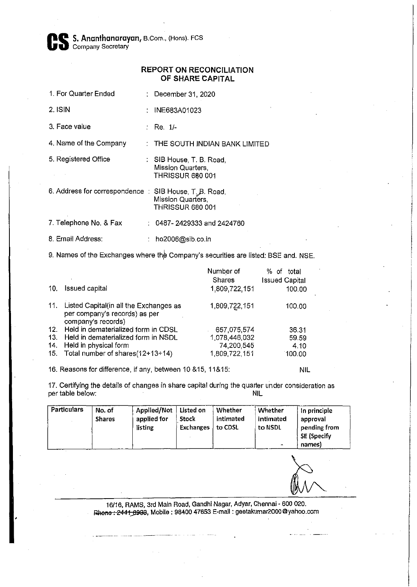Cs S. **Ananthanarayan,** B. Com., (Hons). FCS **Company Secretary** 

## **REPORT ON RECONCILIATION OF SHARE CAPITAL**

- 1. For Quarter Ended : December 31, 2020
- 2. ISIN : INE683A01023
- 3. Face value  $\qquad \qquad : \qquad \text{Re} \quad 1/-$

4. Name of the Company : THE SOUTH INDIAN BANK LIMITED

- 5. Registered Office SIB House, T. B. Road, Mission Quarters, **THRISSUR 680 001**
- 6. Address for correspondence : SIB House, T<sub>.</sub> B. Road, Mission Quarters, THRISSUR 680 001

7. Telephone No. & Fax 0487- 2429333 and 2424760

8. Email Address: ho2006@sib.co.in

9. Names of the Exchanges where the Company's securities are listed: BSE and. NSE.

|     |                                                                                               | Number of<br>Shares | % of<br>total<br><b>Issued Capital</b> |
|-----|-----------------------------------------------------------------------------------------------|---------------------|----------------------------------------|
| 10. | <b>Issued capital</b>                                                                         | 1,809,722,151       | 100.00                                 |
| 11. | Listed Capital(in all the Exchanges as<br>per company's records) as per<br>company's records) | 1,809,722,151       | 100.00                                 |
| 12. | Held in dematerialized form in CDSL                                                           | 657,075,574         | 36.31                                  |
| 13. | Held in dematerialized form in NSDL                                                           | 1 078 446 032       | 59.59                                  |
| 14. | Held in physical form                                                                         | 74,200,545          | 4.10                                   |
| 15. | Total number of shares(12+13+14)                                                              | 1,809,722,151       | 100.00                                 |

16. Reasons for difference, if any, between 10 &15, 11&15:

17. Certifying the details of changes in share capital during the quarter under consideration as per table below: per table below:

| <b>Particulars</b> | No. of<br><b>Shares</b> | Applied/Not<br>applied for<br>listing | Listed on<br>Stock<br>Exchanges | Whether<br>intimated<br>to CDSL | Whether<br>intimated<br>to NSDL | In principle<br>approval<br>pending from<br>SE (Specify |
|--------------------|-------------------------|---------------------------------------|---------------------------------|---------------------------------|---------------------------------|---------------------------------------------------------|
|                    |                         |                                       |                                 |                                 | $\tilde{\phantom{a}}$           | names)                                                  |

NIL

16/16, RAMS, 3rd Main Road, Gandhi Nagar, Adyar, Chennai - 600 020. Rhone: 2441 6933, Mobile: 98400 47653 E-mail : geetakumar2000@yahoo.com